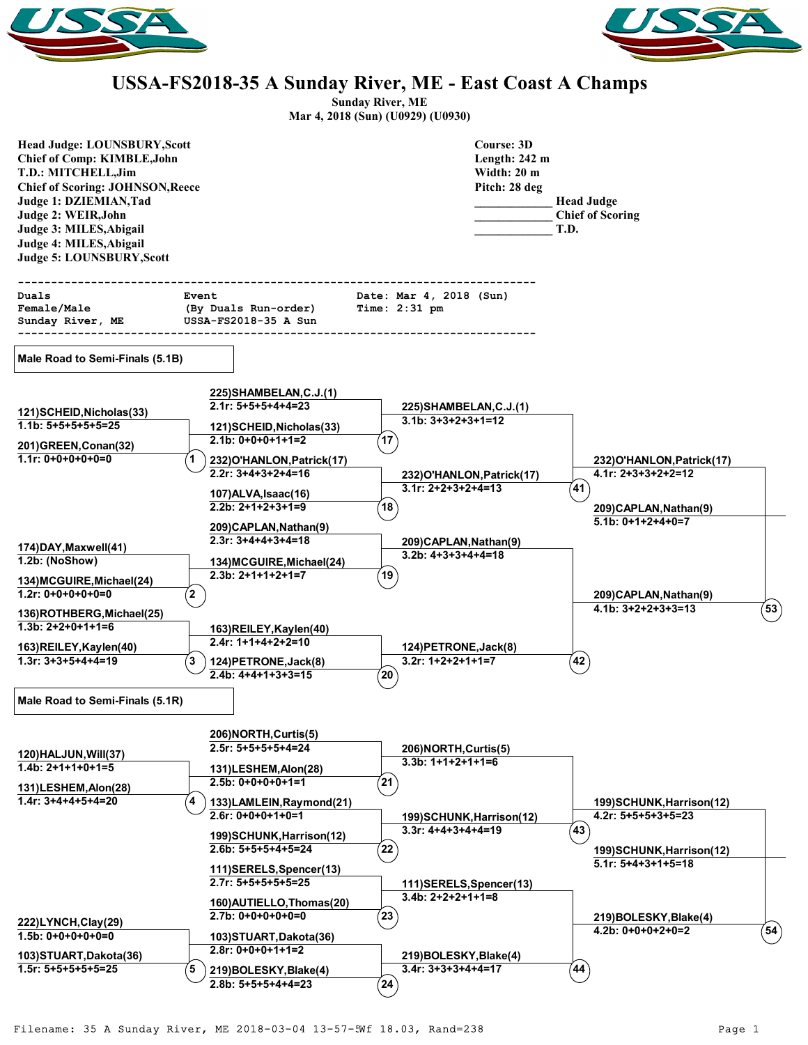



## **USSA-FS2018-35 A Sunday River, ME - East Coast A Champs**

**Sunday River, ME**

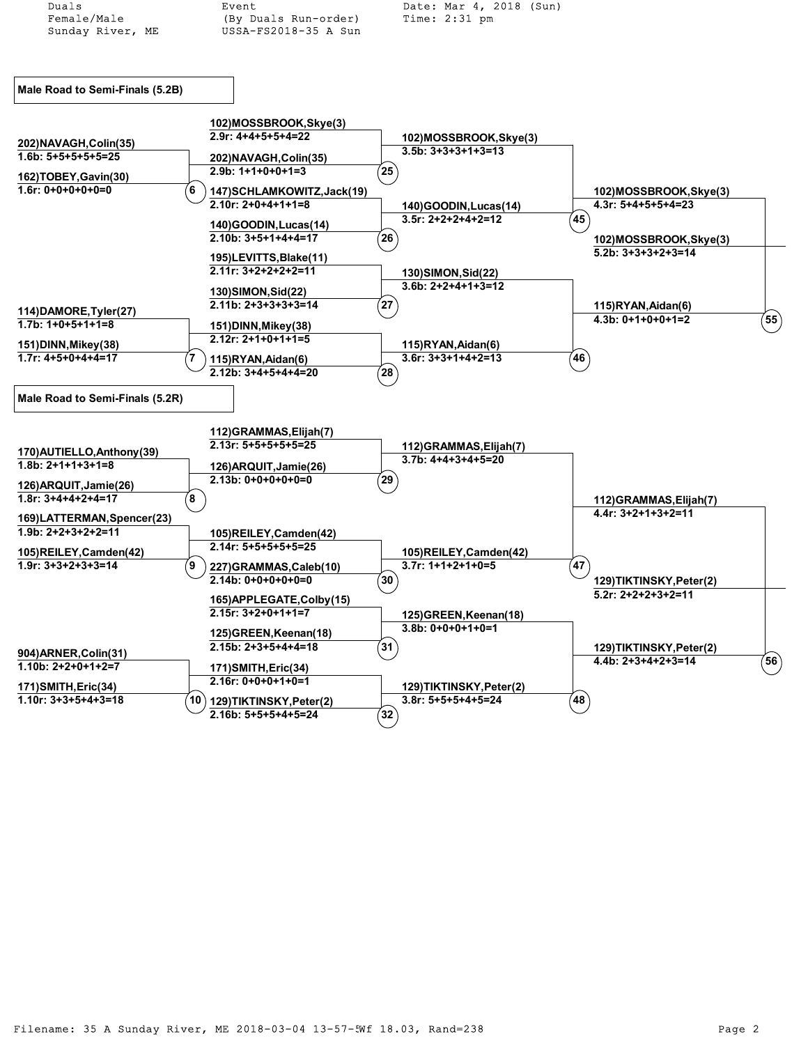| Duals                                              | Event                                           | Date: Mar 4, 2018 (Sun)                        |                                                 |                     |
|----------------------------------------------------|-------------------------------------------------|------------------------------------------------|-------------------------------------------------|---------------------|
| Female/Male                                        | (By Duals Run-order)                            | Time: 2:31 pm                                  |                                                 |                     |
| Sunday River, ME                                   | USSA-FS2018-35 A Sun                            |                                                |                                                 |                     |
|                                                    |                                                 |                                                |                                                 |                     |
|                                                    |                                                 |                                                |                                                 |                     |
| Male Road to Semi-Finals (5.2B)                    |                                                 |                                                |                                                 |                     |
|                                                    |                                                 |                                                |                                                 |                     |
|                                                    | 102)MOSSBROOK, Skye(3)                          |                                                |                                                 |                     |
|                                                    | $2.9r: 4+4+5+5+4=22$                            | 102)MOSSBROOK, Skye(3)                         |                                                 |                     |
| 202) NAVAGH, Colin(35)<br>$1.6b: 5+5+5+5+5=25$     |                                                 | $3.5b: 3+3+3+1+3=13$                           |                                                 |                     |
|                                                    | 202) NAVAGH, Colin(35)<br>$2.9b: 1+1+0+0+1=3$   | $\left( 25\right)$                             |                                                 |                     |
| 162)TOBEY, Gavin(30)                               |                                                 |                                                |                                                 |                     |
| $1.6r: 0+0+0+0+0=0$                                | 6<br>147) SCHLAMKOWITZ, Jack (19)               |                                                | 102)MOSSBROOK, Skye(3)                          |                     |
|                                                    | $2.10r: 2+0+4+1+1=8$                            | 140)GOODIN, Lucas(14)                          | $4.3r: 5+4+5+5+4=23$                            |                     |
|                                                    | 140)GOODIN, Lucas(14)                           | $3.5r: 2+2+2+4+2=12$                           | $\left( 45\right)$                              |                     |
|                                                    | $2.10b: 3+5+1+4+4=17$                           | (26)                                           | 102)MOSSBROOK, Skye(3)                          |                     |
|                                                    | 195)LEVITTS, Blake(11)                          |                                                | 5.2b: 3+3+3+2+3=14                              |                     |
|                                                    | $2.11r: 3+2+2+2+2=11$                           | 130) SIMON, Sid(22)                            |                                                 |                     |
|                                                    |                                                 | $3.6b: 2+2+4+1+3=12$                           |                                                 |                     |
|                                                    | 130) SIMON, Sid(22)                             |                                                |                                                 |                     |
| 114) DAMORE, Tyler (27)                            | $2.11b: 2+3+3+3+3=14$                           | (27)                                           | 115)RYAN, Aidan(6)                              |                     |
| $1.7b: 1+0+5+1+1=8$                                | 151) DINN, Mikey (38)                           |                                                | $4.3b: 0+1+0+0+1=2$                             | $^{'}$ 55 $\rangle$ |
|                                                    | $2.12r: 2+1+0+1+1=5$                            |                                                |                                                 |                     |
| 151) DINN, Mikey (38)<br>$1.7r: 4+5+0+4+4=17$      |                                                 | 115)RYAN,Aidan(6)<br>$3.6r: 3+3+1+4+2=13$      | 46                                              |                     |
|                                                    | 115)RYAN, Aidan(6)<br>$2.12b: 3+4+5+4+4=20$     | $({\bf 28})$                                   |                                                 |                     |
|                                                    |                                                 |                                                |                                                 |                     |
| Male Road to Semi-Finals (5.2R)                    |                                                 |                                                |                                                 |                     |
|                                                    |                                                 |                                                |                                                 |                     |
|                                                    |                                                 |                                                |                                                 |                     |
|                                                    | 112)GRAMMAS, Elijah(7)<br>$2.13r: 5+5+5+5+5=25$ |                                                |                                                 |                     |
| 170) AUTIELLO, Anthony (39)                        |                                                 | 112)GRAMMAS, Elijah(7)<br>$3.7b: 4+4+3+4+5=20$ |                                                 |                     |
| $1.8b: 2+1+1+3+1=8$                                | 126) ARQUIT, Jamie (26)                         |                                                |                                                 |                     |
| 126) ARQUIT, Jamie (26)                            | $2.13b: 0+0+0+0+0=0$                            | $^{'}29$                                       |                                                 |                     |
| $1.8r: 3+4+4+2+4=17$                               | έ8                                              |                                                | 112) GRAMMAS, Elijah (7)                        |                     |
|                                                    |                                                 |                                                | $4.4r: 3+2+1+3+2=11$                            |                     |
| 169)LATTERMAN, Spencer(23)<br>$1.9b: 2+2+3+2+2=11$ |                                                 |                                                |                                                 |                     |
|                                                    | 105)REILEY, Camden(42)<br>2.14r: 5+5+5+5+5=25   |                                                |                                                 |                     |
| 105)REILEY, Camden(42)                             |                                                 | 105)REILEY, Camden(42)                         |                                                 |                     |
| $1.9r: 3+3+2+3+3=14$                               | 9<br>227)GRAMMAS, Caleb(10)                     | $3.7r: 1+1+2+1+0=5$                            | 47                                              |                     |
|                                                    | $2.14b: 0+0+0+0+0=0$                            | $\left( 30\right)$                             | 129)TIKTINSKY, Peter(2)                         |                     |
|                                                    | 165) APPLEGATE, Colby (15)                      |                                                | $5.2r: 2+2+2+3+2=11$                            |                     |
|                                                    | $2.15r: 3+2+0+1+1=7$                            | 125) GREEN, Keenan(18)                         |                                                 |                     |
|                                                    | 125) GREEN, Keenan (18)                         | $3.8b: 0+0+0+1+0=1$                            |                                                 |                     |
|                                                    | $2.15b: 2+3+5+4+4=18$                           | (31)                                           |                                                 |                     |
| 904) ARNER, Colin(31)                              |                                                 |                                                | 129)TIKTINSKY, Peter(2)<br>$4.4b: 2+3+4+2+3=14$ | $^{'}$ 56 $)$       |
| $1.10b: 2+2+0+1+2=7$                               | 171) SMITH, Eric(34)                            |                                                |                                                 |                     |
| 171) SMITH, Eric (34)                              | $2.16r: 0+0+0+1+0=1$                            | 129)TIKTINSKY, Peter(2)                        |                                                 |                     |
| $1.10r: 3+3+5+4+3=18$                              | 10)<br>129)TIKTINSKY, Peter(2)                  | $3.8r: 5+5+5+4+5=24$                           | $^{'}$ 48                                       |                     |
|                                                    | $2.16b: 5+5+5+4+5=24$                           | $\left( 32\right)$                             |                                                 |                     |
|                                                    |                                                 |                                                |                                                 |                     |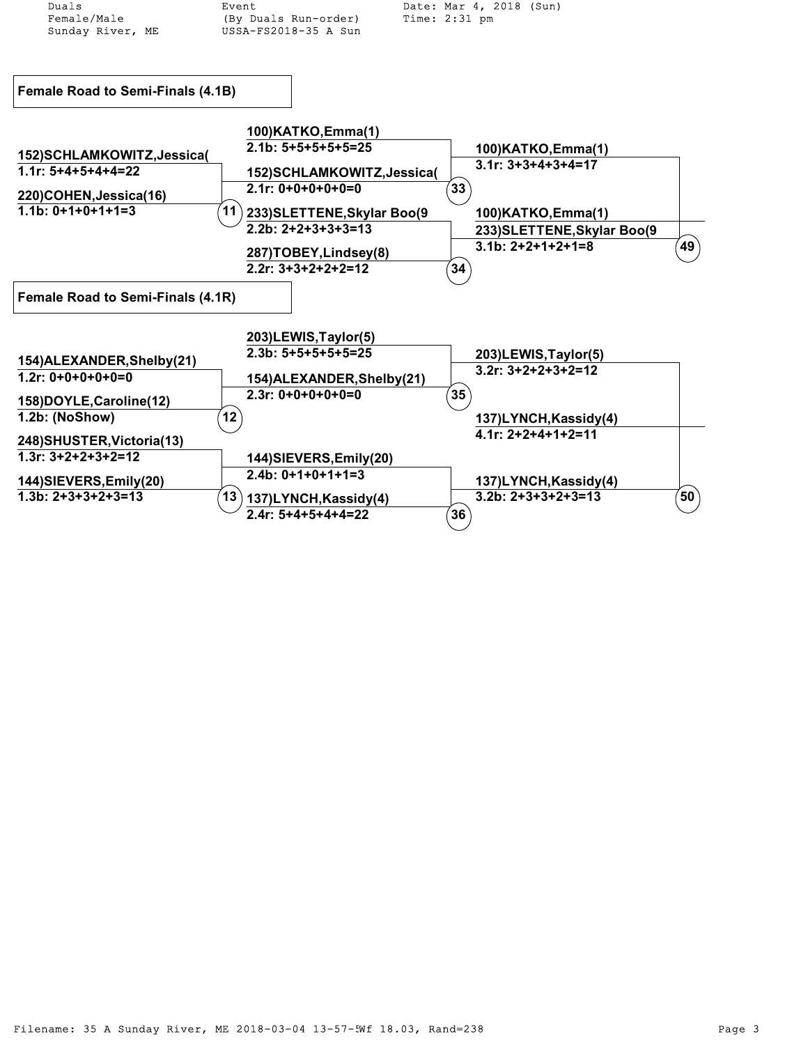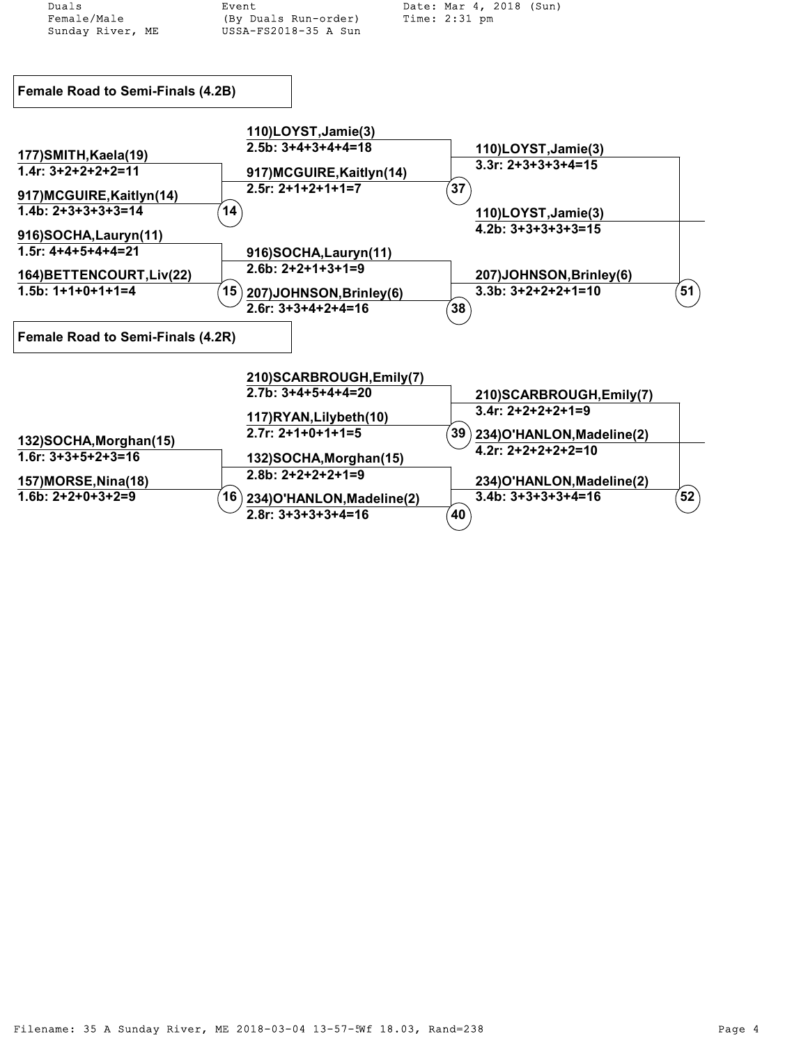